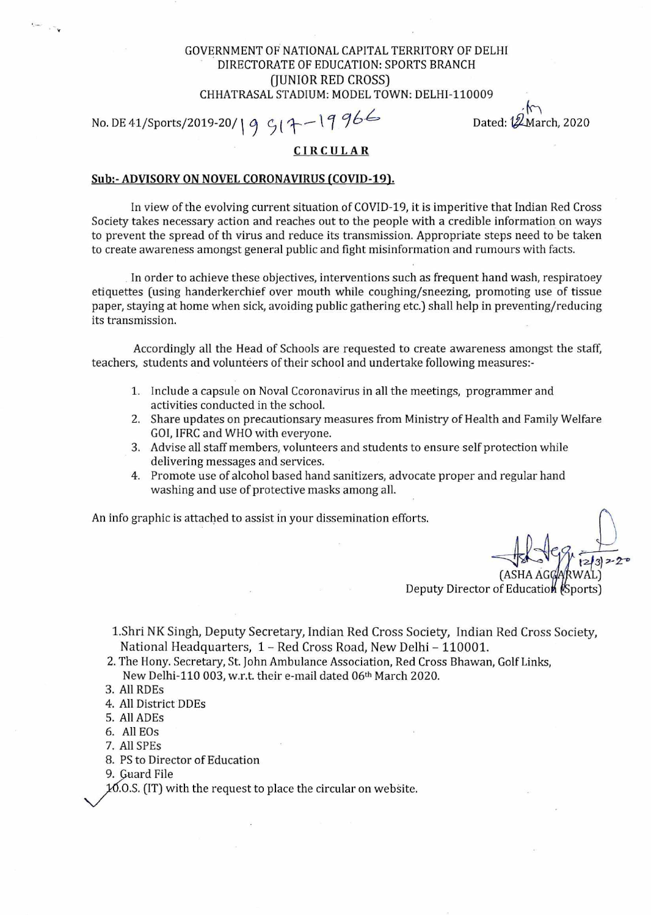## GOVERNMENT OF NATIONAL CAPITAL TERRITORY OF DELHI DIRECTORATE OF EDUCATION: SPORTS BRANCH (JUNIOR RED CROSS) CHHATRASAL STADIUM: MODEL TOWN: DELHI-110009

No. DE 41/Sports/2019-20/19  $9/17-19966$ 

Dated:  $12$ March, 2020

## **CIRCULAR**

## **Sub:- ADVISORY ON NOVEL CORONAVIRUS (COVID-19).**

In view of the evolving current situation of COVID-19, it is imperitive that Indian Red Cross Society takes necessary action and reaches out to the people with a credible information on ways to prevent the spread of th virus and reduce its transmission. Appropriate steps need to be taken to create awareness amongst general public and fight misinformation and rumours with facts.

In order to achieve these objectives, interventions such as frequent hand wash, respiratoey etiquettes (using handerkerchief over mouth while coughing/sneezing, promoting use of tissue paper, staying at home when sick, avoiding public gathering etc.) shall help in preventing/reducing its transmission.

Accordingly all the Head of Schools are requested to create awareness amongst the staff, teachers, students and volunteers of their school and undertake following measures:-

- 1. Include a capsule on Noval Ccoronavirus in all the meetings, programmer and activities conducted in the school.
- 2. Share updates on precautionsary measures from Ministry of Health and Family Welfare GOI, IFRC and WHO with everyone.
- 3. Advise all staff members, volunteers and students to ensure self protection while delivering messages and services.
- 4. Promote use of alcohol based hand sanitizers, advocate proper and regular hand washing and use of protective masks among all.

An info graphic is attached to assist in your dissemination efforts.

(ASHA AG  $2|3|$   $2^{\circ}$ WAL)

Deputy Director of Educatio**n** (Sports)

1.Shri NK Singh, Deputy Secretary, Indian Red Cross Society, Indian Red Cross Society, National Headquarters, 1 - Red Cross Road, New Delhi - 110001.

- 2. The Hony. Secretary, St. John Ambulance Association, Red Cross Bhawan, Golf Links, New Delhi-110 003, w.r.t. their e-mail dated 06th March 2020.
- 3. All RDEs
- 4. All District DDEs
- 5. All ADEs
- 6. All EOs
- 7. All SPEs
- 8. PS to Director of Education
- 9. Guard File

 $10.0$ .S. (IT) with the request to place the circular on website.